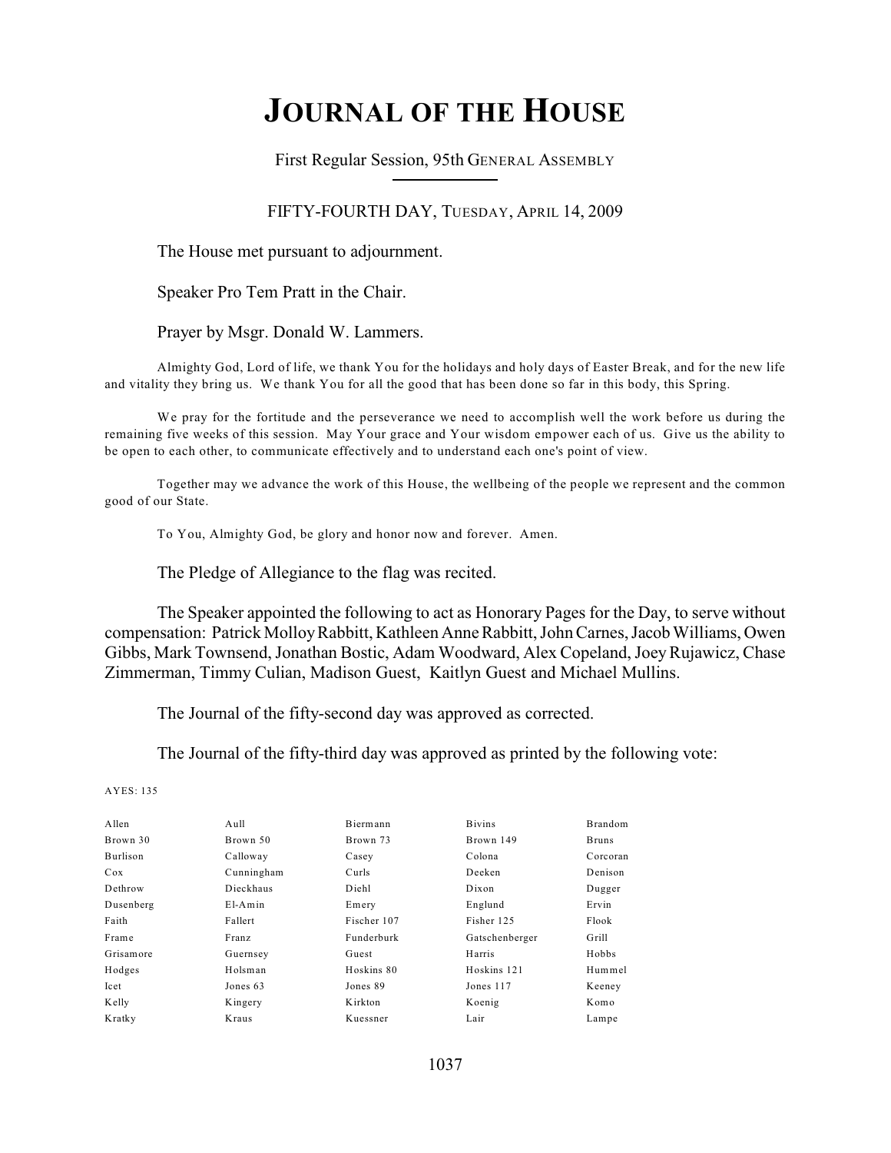# **JOURNAL OF THE HOUSE**

First Regular Session, 95th GENERAL ASSEMBLY

FIFTY-FOURTH DAY, TUESDAY, APRIL 14, 2009

The House met pursuant to adjournment.

Speaker Pro Tem Pratt in the Chair.

Prayer by Msgr. Donald W. Lammers.

Almighty God, Lord of life, we thank You for the holidays and holy days of Easter Break, and for the new life and vitality they bring us. We thank You for all the good that has been done so far in this body, this Spring.

We pray for the fortitude and the perseverance we need to accomplish well the work before us during the remaining five weeks of this session. May Your grace and Your wisdom empower each of us. Give us the ability to be open to each other, to communicate effectively and to understand each one's point of view.

Together may we advance the work of this House, the wellbeing of the people we represent and the common good of our State.

To You, Almighty God, be glory and honor now and forever. Amen.

The Pledge of Allegiance to the flag was recited.

The Speaker appointed the following to act as Honorary Pages for the Day, to serve without compensation: Patrick Molloy Rabbitt, Kathleen Anne Rabbitt, John Carnes, Jacob Williams, Owen Gibbs, Mark Townsend, Jonathan Bostic, Adam Woodward, Alex Copeland, Joey Rujawicz, Chase Zimmerman, Timmy Culian, Madison Guest, Kaitlyn Guest and Michael Mullins.

The Journal of the fifty-second day was approved as corrected.

The Journal of the fifty-third day was approved as printed by the following vote:

AYES: 135

| A llen          | $A$ ull    | Biermann    | <b>Bivins</b>  | <b>Brandom</b> |
|-----------------|------------|-------------|----------------|----------------|
| Brown 30        | Brown 50   | Brown 73    | Brown 149      | <b>Bruns</b>   |
| <b>Burlison</b> | Calloway   | Casey       | Colona         | Corcoran       |
| Cox             | Cunningham | Curls       | Deeken         | Denison        |
| Dethrow         | Dieckhaus  | Diehl       | Dixon          | Dugger         |
| Dusenberg       | $E1-Amin$  | Emery       | Englund        | Ervin          |
| Faith           | Fallert    | Fischer 107 | Fisher 125     | Flook          |
| Frame           | Franz      | Funderburk  | Gatschenberger | Grill          |
| Grisamore       | Guernsey   | Guest       | Harris         | Hobbs          |
| Hodges          | Holsman    | Hoskins 80  | Hoskins 121    | Hummel         |
| Icet            | Jones 63   | Jones 89    | Jones 117      | Keeney         |
| Kelly           | Kingery    | K irkton    | Koenig         | Komo           |
| Kratky          | Kraus      | Kuessner    | Lair           | Lampe          |
|                 |            |             |                |                |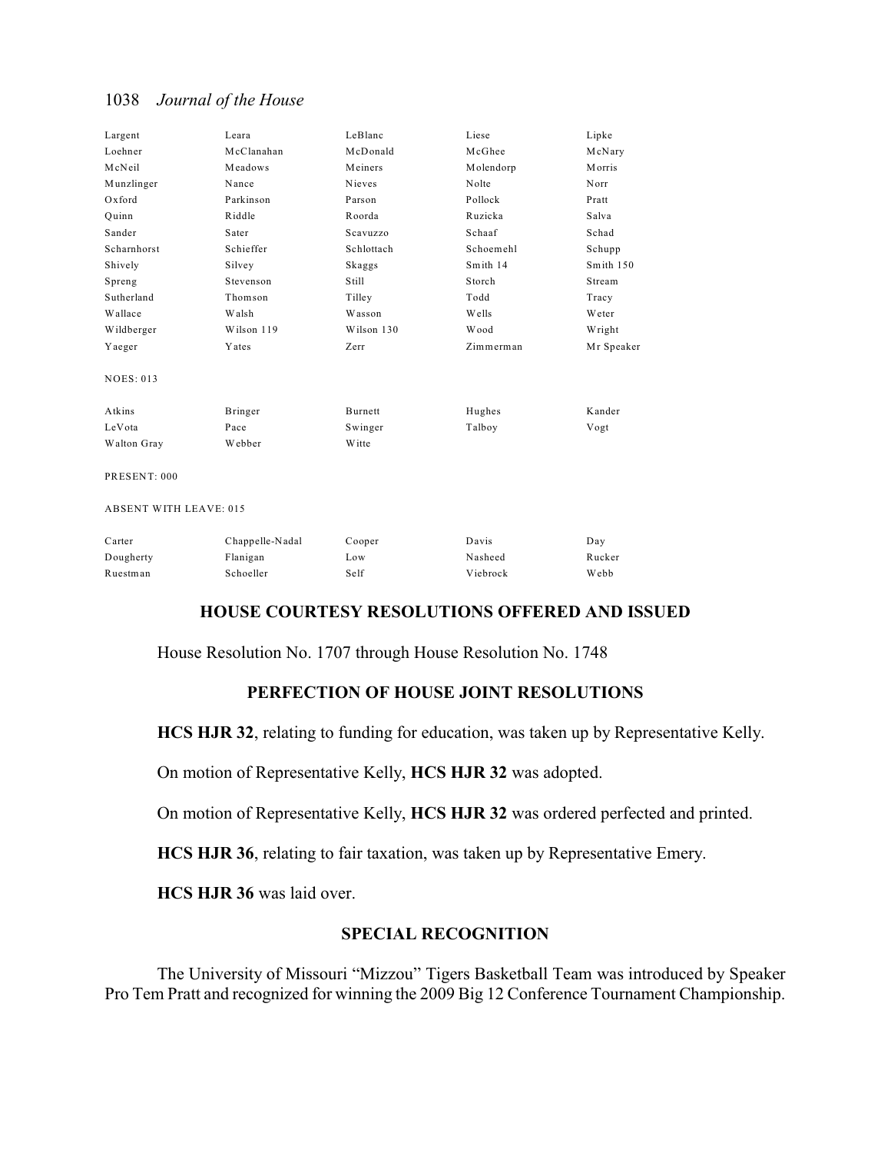| Largent          | Leara      | LeBlanc    | Liese        | Lipke         |
|------------------|------------|------------|--------------|---------------|
| Loehner          | McClanahan | McDonald   | McGhee       | McNary        |
| McNeil           | Meadows    | Meiners    | Molendorp    | <b>Morris</b> |
| Munzlinger       | Nance      | Nieves     | Nolte        | Norr          |
| Oxford           | Parkinson  | Parson     | Pollock      | Pratt         |
| Ouinn            | Riddle     | Roorda     | Ruzicka      | Salva         |
| Sander           | Sater      | Scavuzzo   | Schaaf       | Schad         |
| Scharnhorst      | Schieffer  | Schlottach | Schoemehl    | Schupp        |
| Shively          | Silvey     | Skaggs     | Smith 14     | Smith 150     |
| Spreng           | Stevenson  | Still      | Storch       | Stream        |
| Sutherland       | Thomson    | Tilley     | Todd         | Tracy         |
| Wallace          | Walsh      | Wasson     | <b>Wells</b> | Weter         |
| Wildberger       | Wilson 119 | Wilson 130 | Wood         | Wright        |
| Yaeger           | Yates      | Zerr       | Zimmerman    | Mr Speaker    |
| <b>NOES: 013</b> |            |            |              |               |
| Atkins           | Bringer    | Burnett    | Hughes       | Kander        |
| LeVota           | Pace       | Swinger    | Talboy       | Vogt          |
| Walton Gray      | Webber     | W itte     |              |               |
|                  |            |            |              |               |

PRESENT: 000

ABSENT WITH LEAVE: 015

| Carter    | Chappelle-Nadal | Cooper | Davis    | Day         |
|-----------|-----------------|--------|----------|-------------|
| Dougherty | Flanigan        | Low    | Nasheed  | Rucker      |
| Ruestman  | Schoeller       | Self   | Viebrock | <b>Webb</b> |

## **HOUSE COURTESY RESOLUTIONS OFFERED AND ISSUED**

House Resolution No. 1707 through House Resolution No. 1748

#### **PERFECTION OF HOUSE JOINT RESOLUTIONS**

**HCS HJR 32**, relating to funding for education, was taken up by Representative Kelly.

On motion of Representative Kelly, **HCS HJR 32** was adopted.

On motion of Representative Kelly, **HCS HJR 32** was ordered perfected and printed.

**HCS HJR 36**, relating to fair taxation, was taken up by Representative Emery.

**HCS HJR 36** was laid over.

## **SPECIAL RECOGNITION**

The University of Missouri "Mizzou" Tigers Basketball Team was introduced by Speaker Pro Tem Pratt and recognized for winning the 2009 Big 12 Conference Tournament Championship.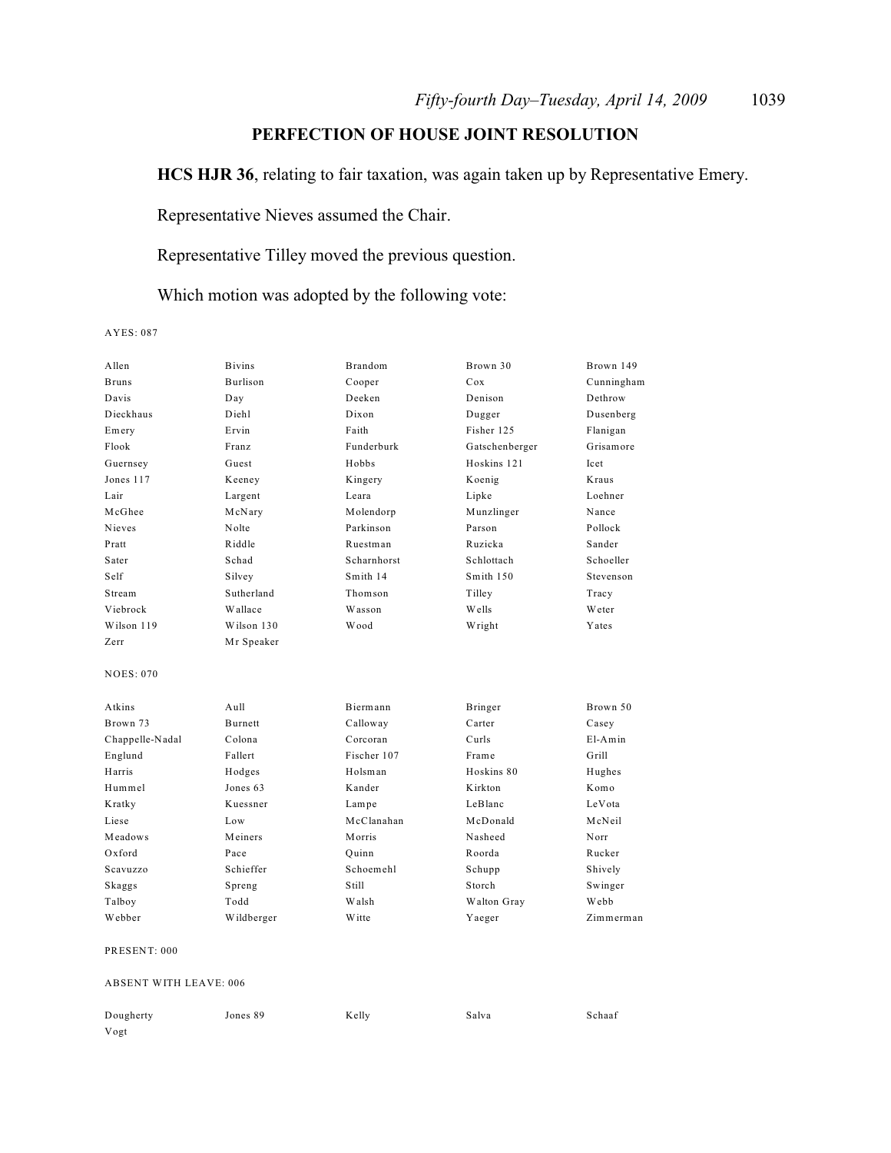# **PERFECTION OF HOUSE JOINT RESOLUTION**

**HCS HJR 36**, relating to fair taxation, was again taken up by Representative Emery.

Representative Nieves assumed the Chair.

Representative Tilley moved the previous question.

Which motion was adopted by the following vote:

AYES: 087

| Allen            | <b>Bivins</b> | <b>Brandom</b> | Brown 30       | Brown 149   |
|------------------|---------------|----------------|----------------|-------------|
| <b>Bruns</b>     | Burlison      | Cooper         | Cox            | Cunningham  |
| Davis            | Day           | Deeken         | Denison        | Dethrow     |
| Dieckhaus        | Diehl         | Dixon          | Dugger         | Dusenberg   |
| Emery            | Ervin         | Faith          | Fisher 125     | Flanigan    |
| Flook            | Franz         | Funderburk     | Gatschenberger | Grisamore   |
| Guernsey         | Guest         | Hobbs          | Hoskins 121    | <b>Icet</b> |
| Jones 117        | Keeney        | Kingery        | Koenig         | Kraus       |
| Lair             | Largent       | Leara          | Lipke          | Loehner     |
| McGhee           | McNary        | Molendorp      | Munzlinger     | Nance       |
| Nieves           | Nolte         | Parkinson      | Parson         | Pollock     |
| Pratt            | Riddle        | Ruestman       | Ruzicka        | Sander      |
| Sater            | Schad         | Scharnhorst    | Schlottach     | Schoeller   |
| Self             | Silvey        | Smith 14       | Smith 150      | Stevenson   |
| Stream           | Sutherland    | Thomson        | Tilley         | Tracy       |
| Viebrock         | Wallace       | Wasson         | Wells          | Weter       |
| Wilson 119       | Wilson 130    | Wood           | Wright         | Yates       |
| Zerr             | Mr Speaker    |                |                |             |
| <b>NOES: 070</b> |               |                |                |             |
| Atkins           | Aull          | Biermann       | Bringer        | Brown 50    |
| Brown 73         | Burnett       | Calloway       | Carter         | Casey       |
| Chappelle-Nadal  | Colona        | Corcoran       | Curls          | $E1-Amin$   |
| Englund          | Fallert       | Fischer 107    | Frame          | Grill       |
| Harris           | Hodges        | Holsman        | Hoskins 80     | Hughes      |
| Hummel           | Jones 63      | Kander         | Kirkton        | Komo        |
| Kratky           | Kuessner      | Lampe          | LeBlanc        | LeVota      |
| Liese            | Low           | McClanahan     | McDonald       | McNeil      |
| Meadows          | Meiners       | M orris        | Nasheed        | Norr        |
| Oxford           | Pace          | Ouinn          | Roorda         | Rucker      |
| Scavuzzo         | Schieffer     | Schoemehl      | Schupp         | Shively     |
| Skaggs           | Spreng        | Still          | Storch         | Swinger     |
| Talboy           | Todd          | Walsh          | Walton Gray    | Webb        |
| Webber           | Wildberger    | <b>W</b> itte  | Yaeger         | Zimmerman   |
| PRESENT: 000     |               |                |                |             |

#### ABSENT WITH LEAVE: 006

| Dougherty | Jones 89 | Kelly | Salva | Schaaf |
|-----------|----------|-------|-------|--------|
| Vogt      |          |       |       |        |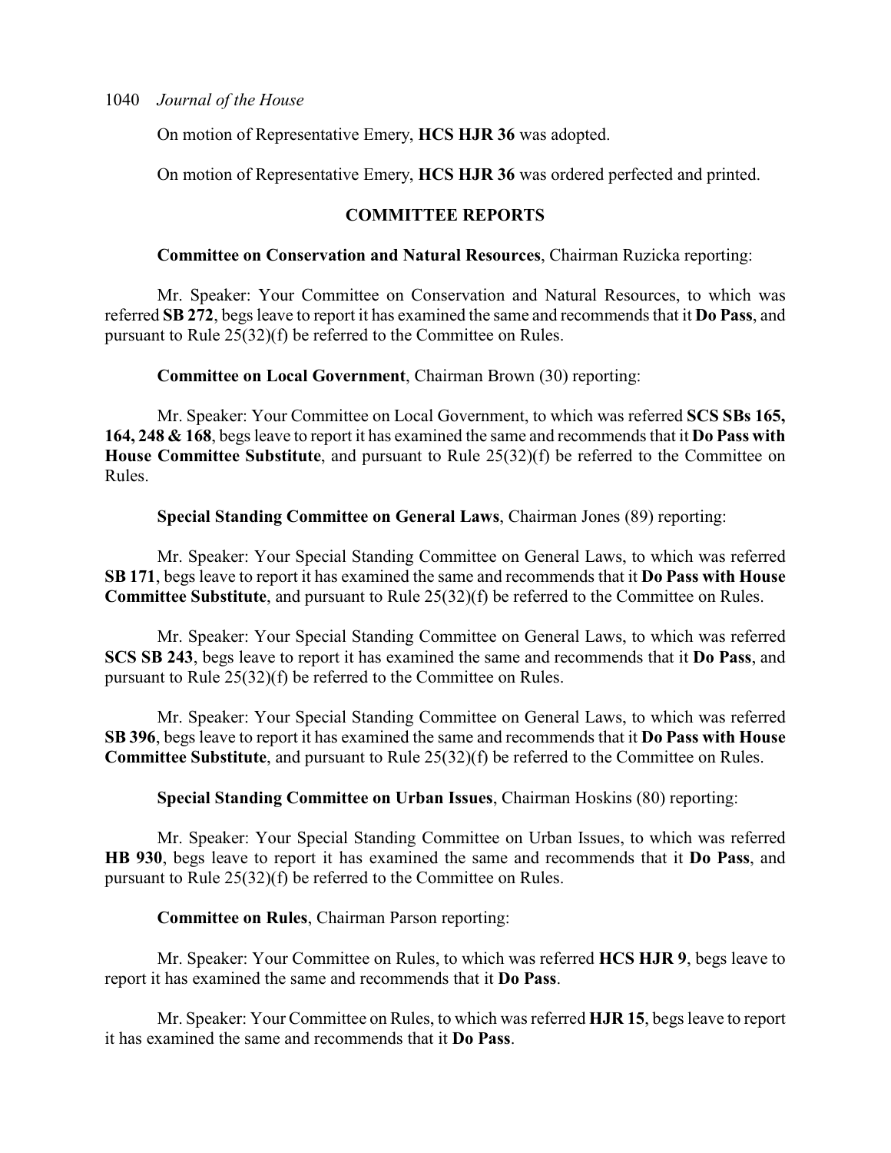On motion of Representative Emery, **HCS HJR 36** was adopted.

On motion of Representative Emery, **HCS HJR 36** was ordered perfected and printed.

## **COMMITTEE REPORTS**

## **Committee on Conservation and Natural Resources**, Chairman Ruzicka reporting:

Mr. Speaker: Your Committee on Conservation and Natural Resources, to which was referred **SB 272**, begs leave to report it has examined the same and recommends that it **Do Pass**, and pursuant to Rule 25(32)(f) be referred to the Committee on Rules.

**Committee on Local Government**, Chairman Brown (30) reporting:

Mr. Speaker: Your Committee on Local Government, to which was referred **SCS SBs 165, 164, 248 & 168**, begs leave to report it has examined the same and recommends that it **Do Pass with House Committee Substitute**, and pursuant to Rule 25(32)(f) be referred to the Committee on Rules.

**Special Standing Committee on General Laws**, Chairman Jones (89) reporting:

Mr. Speaker: Your Special Standing Committee on General Laws, to which was referred **SB 171**, begs leave to report it has examined the same and recommends that it **Do Pass with House Committee Substitute**, and pursuant to Rule 25(32)(f) be referred to the Committee on Rules.

Mr. Speaker: Your Special Standing Committee on General Laws, to which was referred **SCS SB 243**, begs leave to report it has examined the same and recommends that it **Do Pass**, and pursuant to Rule 25(32)(f) be referred to the Committee on Rules.

Mr. Speaker: Your Special Standing Committee on General Laws, to which was referred **SB 396**, begs leave to report it has examined the same and recommends that it **Do Pass with House Committee Substitute**, and pursuant to Rule 25(32)(f) be referred to the Committee on Rules.

**Special Standing Committee on Urban Issues**, Chairman Hoskins (80) reporting:

Mr. Speaker: Your Special Standing Committee on Urban Issues, to which was referred **HB 930**, begs leave to report it has examined the same and recommends that it **Do Pass**, and pursuant to Rule 25(32)(f) be referred to the Committee on Rules.

#### **Committee on Rules**, Chairman Parson reporting:

Mr. Speaker: Your Committee on Rules, to which was referred **HCS HJR 9**, begs leave to report it has examined the same and recommends that it **Do Pass**.

Mr. Speaker: Your Committee on Rules, to which was referred **HJR 15**, begs leave to report it has examined the same and recommends that it **Do Pass**.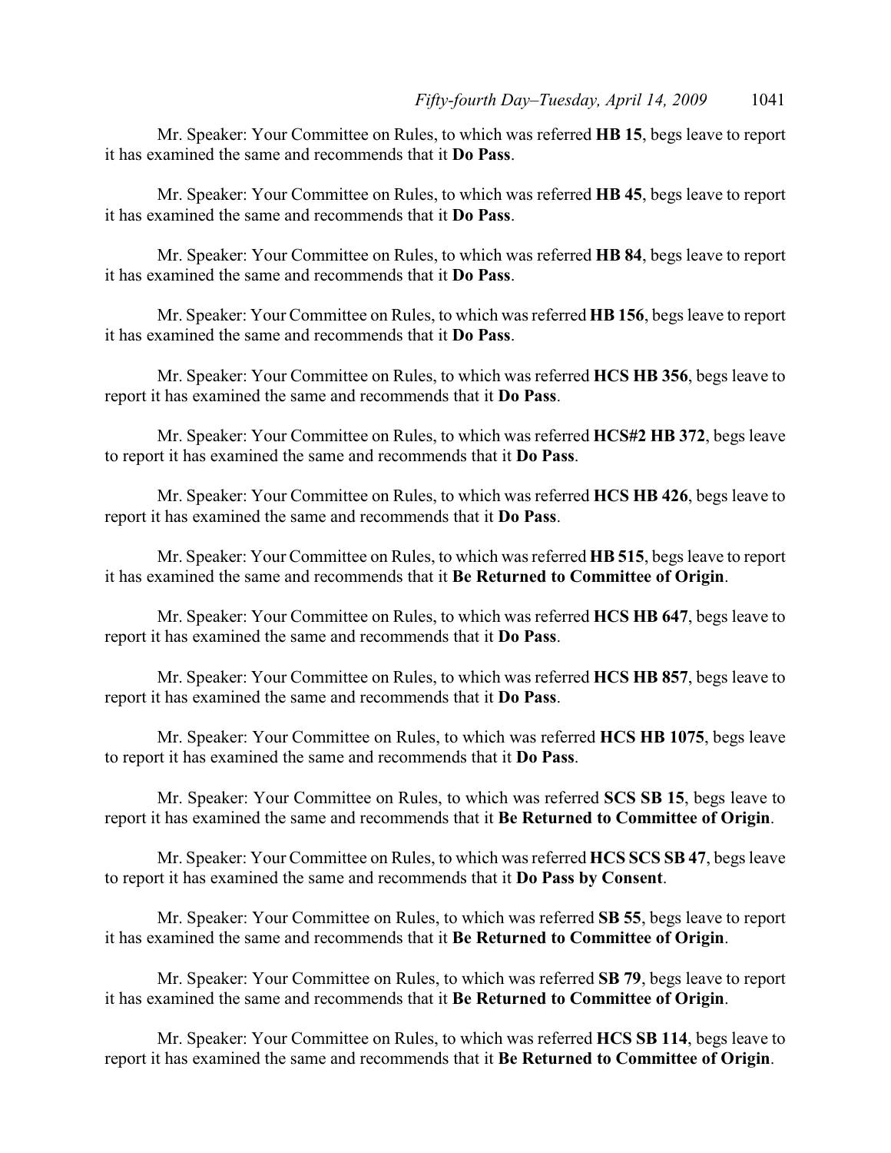Mr. Speaker: Your Committee on Rules, to which was referred **HB 15**, begs leave to report it has examined the same and recommends that it **Do Pass**.

Mr. Speaker: Your Committee on Rules, to which was referred **HB 45**, begs leave to report it has examined the same and recommends that it **Do Pass**.

Mr. Speaker: Your Committee on Rules, to which was referred **HB 84**, begs leave to report it has examined the same and recommends that it **Do Pass**.

Mr. Speaker: Your Committee on Rules, to which was referred **HB 156**, begs leave to report it has examined the same and recommends that it **Do Pass**.

Mr. Speaker: Your Committee on Rules, to which was referred **HCS HB 356**, begs leave to report it has examined the same and recommends that it **Do Pass**.

Mr. Speaker: Your Committee on Rules, to which was referred **HCS#2 HB 372**, begs leave to report it has examined the same and recommends that it **Do Pass**.

Mr. Speaker: Your Committee on Rules, to which was referred **HCS HB 426**, begs leave to report it has examined the same and recommends that it **Do Pass**.

Mr. Speaker: Your Committee on Rules, to which was referred **HB 515**, begs leave to report it has examined the same and recommends that it **Be Returned to Committee of Origin**.

Mr. Speaker: Your Committee on Rules, to which was referred **HCS HB 647**, begs leave to report it has examined the same and recommends that it **Do Pass**.

Mr. Speaker: Your Committee on Rules, to which was referred **HCS HB 857**, begs leave to report it has examined the same and recommends that it **Do Pass**.

Mr. Speaker: Your Committee on Rules, to which was referred **HCS HB 1075**, begs leave to report it has examined the same and recommends that it **Do Pass**.

Mr. Speaker: Your Committee on Rules, to which was referred **SCS SB 15**, begs leave to report it has examined the same and recommends that it **Be Returned to Committee of Origin**.

Mr. Speaker: Your Committee on Rules, to which was referred **HCS SCS SB 47**, begs leave to report it has examined the same and recommends that it **Do Pass by Consent**.

Mr. Speaker: Your Committee on Rules, to which was referred **SB 55**, begs leave to report it has examined the same and recommends that it **Be Returned to Committee of Origin**.

Mr. Speaker: Your Committee on Rules, to which was referred **SB 79**, begs leave to report it has examined the same and recommends that it **Be Returned to Committee of Origin**.

Mr. Speaker: Your Committee on Rules, to which was referred **HCS SB 114**, begs leave to report it has examined the same and recommends that it **Be Returned to Committee of Origin**.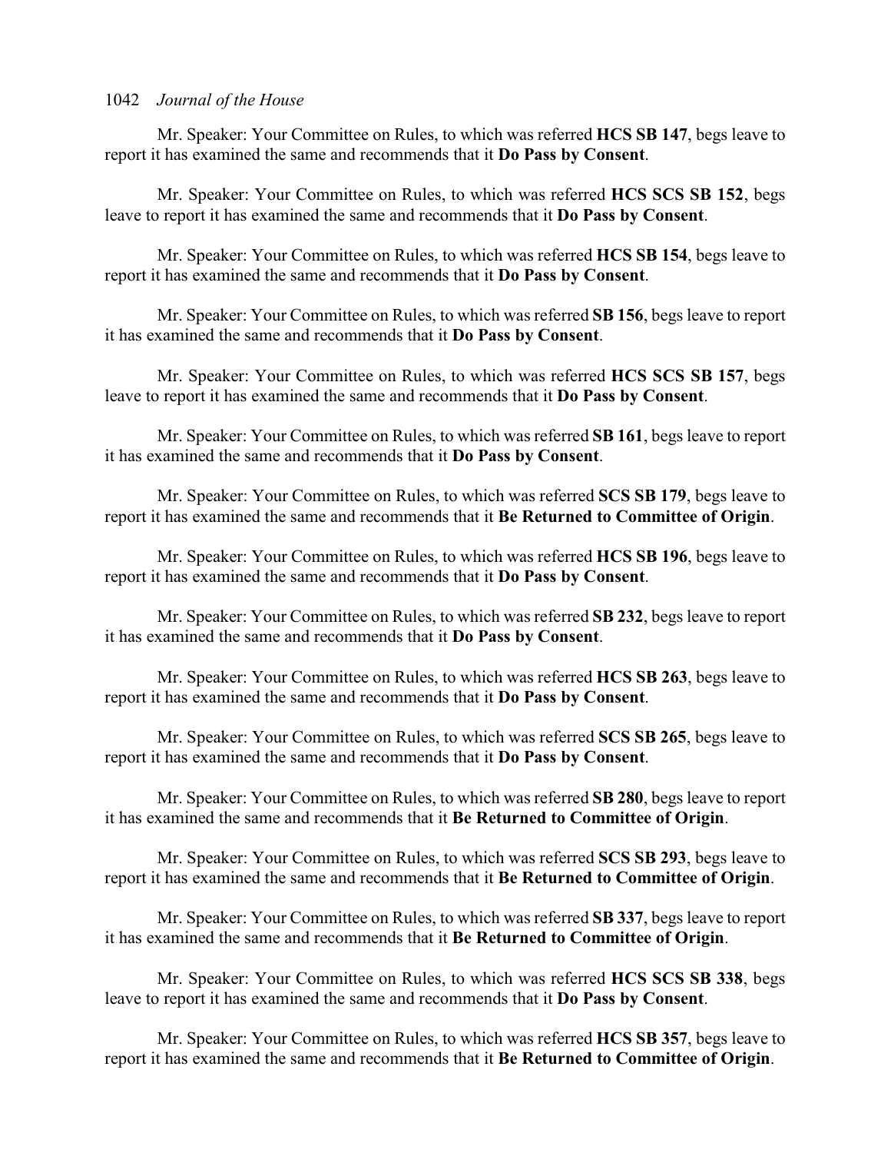Mr. Speaker: Your Committee on Rules, to which was referred **HCS SB 147**, begs leave to report it has examined the same and recommends that it **Do Pass by Consent**.

Mr. Speaker: Your Committee on Rules, to which was referred **HCS SCS SB 152**, begs leave to report it has examined the same and recommends that it **Do Pass by Consent**.

Mr. Speaker: Your Committee on Rules, to which was referred **HCS SB 154**, begs leave to report it has examined the same and recommends that it **Do Pass by Consent**.

Mr. Speaker: Your Committee on Rules, to which was referred **SB 156**, begs leave to report it has examined the same and recommends that it **Do Pass by Consent**.

Mr. Speaker: Your Committee on Rules, to which was referred **HCS SCS SB 157**, begs leave to report it has examined the same and recommends that it **Do Pass by Consent**.

Mr. Speaker: Your Committee on Rules, to which was referred **SB 161**, begs leave to report it has examined the same and recommends that it **Do Pass by Consent**.

Mr. Speaker: Your Committee on Rules, to which was referred **SCS SB 179**, begs leave to report it has examined the same and recommends that it **Be Returned to Committee of Origin**.

Mr. Speaker: Your Committee on Rules, to which was referred **HCS SB 196**, begs leave to report it has examined the same and recommends that it **Do Pass by Consent**.

Mr. Speaker: Your Committee on Rules, to which was referred **SB 232**, begs leave to report it has examined the same and recommends that it **Do Pass by Consent**.

Mr. Speaker: Your Committee on Rules, to which was referred **HCS SB 263**, begs leave to report it has examined the same and recommends that it **Do Pass by Consent**.

Mr. Speaker: Your Committee on Rules, to which was referred **SCS SB 265**, begs leave to report it has examined the same and recommends that it **Do Pass by Consent**.

Mr. Speaker: Your Committee on Rules, to which was referred **SB 280**, begs leave to report it has examined the same and recommends that it **Be Returned to Committee of Origin**.

Mr. Speaker: Your Committee on Rules, to which was referred **SCS SB 293**, begs leave to report it has examined the same and recommends that it **Be Returned to Committee of Origin**.

Mr. Speaker: Your Committee on Rules, to which was referred **SB 337**, begs leave to report it has examined the same and recommends that it **Be Returned to Committee of Origin**.

Mr. Speaker: Your Committee on Rules, to which was referred **HCS SCS SB 338**, begs leave to report it has examined the same and recommends that it **Do Pass by Consent**.

Mr. Speaker: Your Committee on Rules, to which was referred **HCS SB 357**, begs leave to report it has examined the same and recommends that it **Be Returned to Committee of Origin**.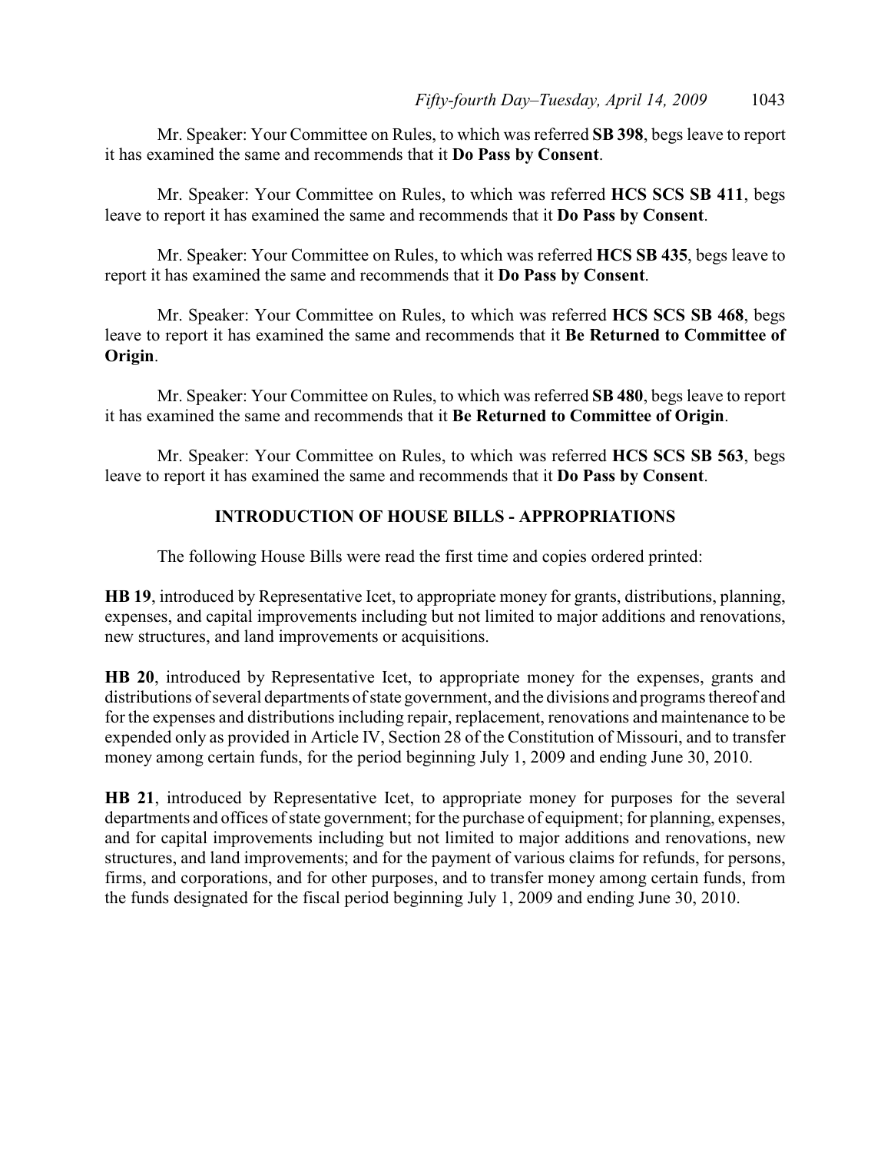Mr. Speaker: Your Committee on Rules, to which was referred **SB 398**, begs leave to report it has examined the same and recommends that it **Do Pass by Consent**.

Mr. Speaker: Your Committee on Rules, to which was referred **HCS SCS SB 411**, begs leave to report it has examined the same and recommends that it **Do Pass by Consent**.

Mr. Speaker: Your Committee on Rules, to which was referred **HCS SB 435**, begs leave to report it has examined the same and recommends that it **Do Pass by Consent**.

Mr. Speaker: Your Committee on Rules, to which was referred **HCS SCS SB 468**, begs leave to report it has examined the same and recommends that it **Be Returned to Committee of Origin**.

Mr. Speaker: Your Committee on Rules, to which was referred **SB 480**, begs leave to report it has examined the same and recommends that it **Be Returned to Committee of Origin**.

Mr. Speaker: Your Committee on Rules, to which was referred **HCS SCS SB 563**, begs leave to report it has examined the same and recommends that it **Do Pass by Consent**.

# **INTRODUCTION OF HOUSE BILLS - APPROPRIATIONS**

The following House Bills were read the first time and copies ordered printed:

**HB 19**, introduced by Representative Icet, to appropriate money for grants, distributions, planning, expenses, and capital improvements including but not limited to major additions and renovations, new structures, and land improvements or acquisitions.

**HB 20**, introduced by Representative Icet, to appropriate money for the expenses, grants and distributions of several departments of state government, and the divisions and programs thereof and for the expenses and distributions including repair, replacement, renovations and maintenance to be expended only as provided in Article IV, Section 28 of the Constitution of Missouri, and to transfer money among certain funds, for the period beginning July 1, 2009 and ending June 30, 2010.

**HB 21**, introduced by Representative Icet, to appropriate money for purposes for the several departments and offices of state government; for the purchase of equipment; for planning, expenses, and for capital improvements including but not limited to major additions and renovations, new structures, and land improvements; and for the payment of various claims for refunds, for persons, firms, and corporations, and for other purposes, and to transfer money among certain funds, from the funds designated for the fiscal period beginning July 1, 2009 and ending June 30, 2010.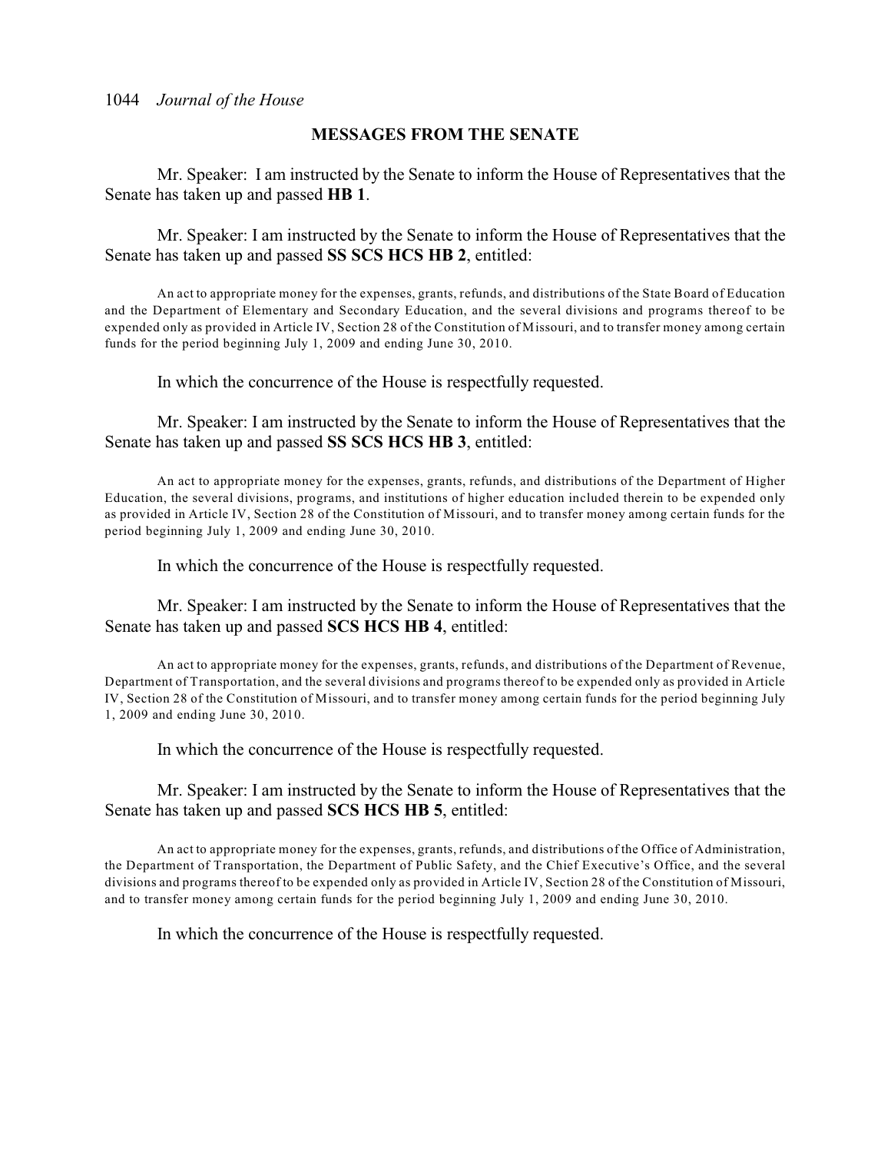#### **MESSAGES FROM THE SENATE**

Mr. Speaker: I am instructed by the Senate to inform the House of Representatives that the Senate has taken up and passed **HB 1**.

Mr. Speaker: I am instructed by the Senate to inform the House of Representatives that the Senate has taken up and passed **SS SCS HCS HB 2**, entitled:

An act to appropriate money for the expenses, grants, refunds, and distributions of the State Board of Education and the Department of Elementary and Secondary Education, and the several divisions and programs thereof to be expended only as provided in Article IV, Section 28 of the Constitution of Missouri, and to transfer money among certain funds for the period beginning July 1, 2009 and ending June 30, 2010.

In which the concurrence of the House is respectfully requested.

Mr. Speaker: I am instructed by the Senate to inform the House of Representatives that the Senate has taken up and passed **SS SCS HCS HB 3**, entitled:

An act to appropriate money for the expenses, grants, refunds, and distributions of the Department of Higher Education, the several divisions, programs, and institutions of higher education included therein to be expended only as provided in Article IV, Section 28 of the Constitution of Missouri, and to transfer money among certain funds for the period beginning July 1, 2009 and ending June 30, 2010.

In which the concurrence of the House is respectfully requested.

Mr. Speaker: I am instructed by the Senate to inform the House of Representatives that the Senate has taken up and passed **SCS HCS HB 4**, entitled:

An act to appropriate money for the expenses, grants, refunds, and distributions of the Department of Revenue, Department of Transportation, and the several divisions and programs thereof to be expended only as provided in Article IV, Section 28 of the Constitution of Missouri, and to transfer money among certain funds for the period beginning July 1, 2009 and ending June 30, 2010.

In which the concurrence of the House is respectfully requested.

Mr. Speaker: I am instructed by the Senate to inform the House of Representatives that the Senate has taken up and passed **SCS HCS HB 5**, entitled:

An act to appropriate money for the expenses, grants, refunds, and distributions of the Office of Administration, the Department of Transportation, the Department of Public Safety, and the Chief Executive's Office, and the several divisions and programs thereof to be expended only as provided in Article IV, Section 28 of the Constitution of Missouri, and to transfer money among certain funds for the period beginning July 1, 2009 and ending June 30, 2010.

In which the concurrence of the House is respectfully requested.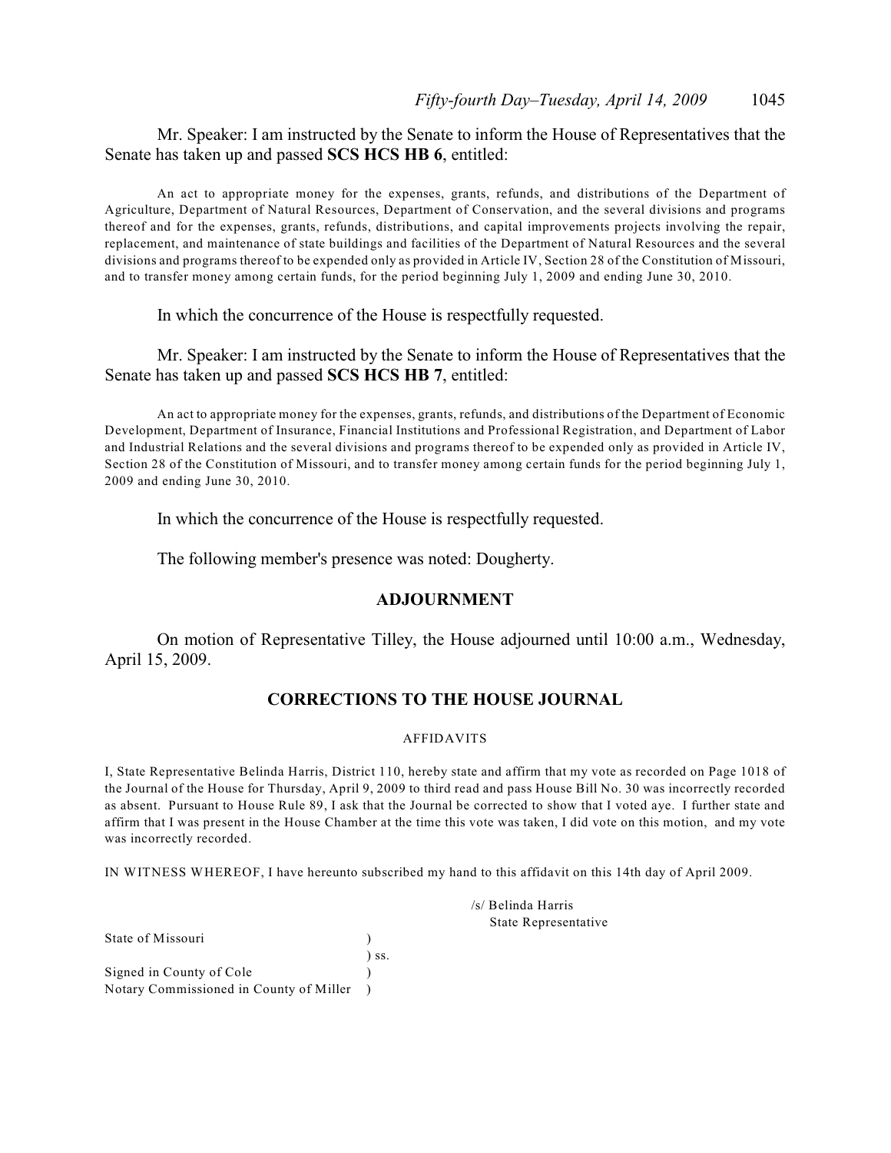Mr. Speaker: I am instructed by the Senate to inform the House of Representatives that the Senate has taken up and passed **SCS HCS HB 6**, entitled:

An act to appropriate money for the expenses, grants, refunds, and distributions of the Department of Agriculture, Department of Natural Resources, Department of Conservation, and the several divisions and programs thereof and for the expenses, grants, refunds, distributions, and capital improvements projects involving the repair, replacement, and maintenance of state buildings and facilities of the Department of Natural Resources and the several divisions and programs thereof to be expended only as provided in Article IV, Section 28 of the Constitution of Missouri, and to transfer money among certain funds, for the period beginning July 1, 2009 and ending June 30, 2010.

In which the concurrence of the House is respectfully requested.

Mr. Speaker: I am instructed by the Senate to inform the House of Representatives that the Senate has taken up and passed **SCS HCS HB 7**, entitled:

An act to appropriate money for the expenses, grants, refunds, and distributions of the Department of Economic Development, Department of Insurance, Financial Institutions and Professional Registration, and Department of Labor and Industrial Relations and the several divisions and programs thereof to be expended only as provided in Article IV, Section 28 of the Constitution of Missouri, and to transfer money among certain funds for the period beginning July 1, 2009 and ending June 30, 2010.

In which the concurrence of the House is respectfully requested.

The following member's presence was noted: Dougherty.

#### **ADJOURNMENT**

On motion of Representative Tilley, the House adjourned until 10:00 a.m., Wednesday, April 15, 2009.

#### **CORRECTIONS TO THE HOUSE JOURNAL**

#### AFFIDAVITS

I, State Representative Belinda Harris, District 110, hereby state and affirm that my vote as recorded on Page 1018 of the Journal of the House for Thursday, April 9, 2009 to third read and pass House Bill No. 30 was incorrectly recorded as absent. Pursuant to House Rule 89, I ask that the Journal be corrected to show that I voted aye. I further state and affirm that I was present in the House Chamber at the time this vote was taken, I did vote on this motion, and my vote was incorrectly recorded.

IN WITNESS WHEREOF, I have hereunto subscribed my hand to this affidavit on this 14th day of April 2009.

|       | /s/ Belinda Harris   |
|-------|----------------------|
|       | State Representative |
|       |                      |
| ) ss. |                      |
|       |                      |

State of Missouri )

Signed in County of Cole ) Notary Commissioned in County of Miller )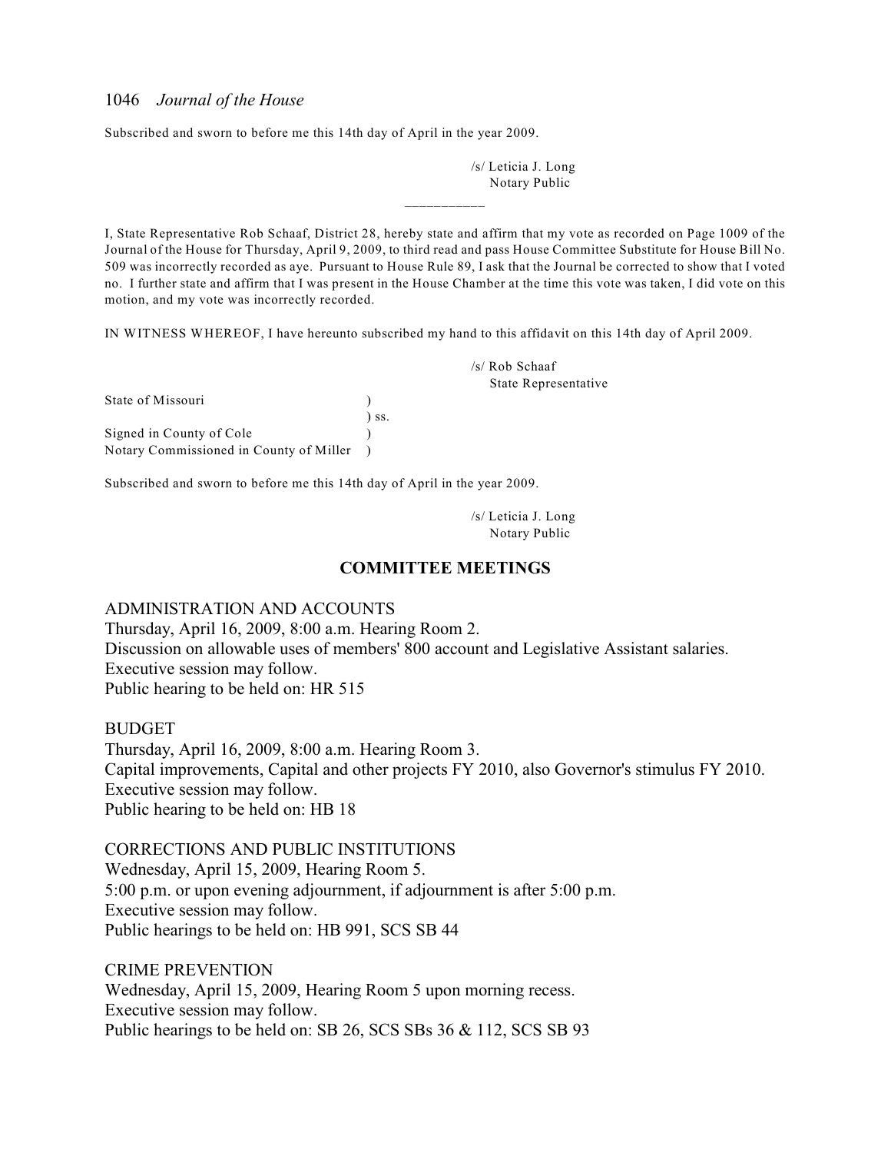Subscribed and sworn to before me this 14th day of April in the year 2009.

/s/ Leticia J. Long Notary Public

I, State Representative Rob Schaaf, District 28, hereby state and affirm that my vote as recorded on Page 1009 of the Journal of the House for Thursday, April 9, 2009, to third read and pass House Committee Substitute for House Bill No. 509 was incorrectly recorded as aye. Pursuant to House Rule 89, I ask that the Journal be corrected to show that I voted no. I further state and affirm that I was present in the House Chamber at the time this vote was taken, I did vote on this motion, and my vote was incorrectly recorded.

 $\overline{\phantom{a}}$  . The contract of  $\overline{\phantom{a}}$ 

IN WITNESS WHEREOF, I have hereunto subscribed my hand to this affidavit on this 14th day of April 2009.

| State of Missouri                       |         |
|-----------------------------------------|---------|
|                                         | $)$ ss. |
| Signed in County of Cole                |         |
| Notary Commissioned in County of Miller |         |

Subscribed and sworn to before me this 14th day of April in the year 2009.

/s/ Leticia J. Long Notary Public

/s/ Rob Schaaf

State Representative

#### **COMMITTEE MEETINGS**

ADMINISTRATION AND ACCOUNTS

Thursday, April 16, 2009, 8:00 a.m. Hearing Room 2. Discussion on allowable uses of members' 800 account and Legislative Assistant salaries. Executive session may follow. Public hearing to be held on: HR 515

#### BUDGET

Thursday, April 16, 2009, 8:00 a.m. Hearing Room 3. Capital improvements, Capital and other projects FY 2010, also Governor's stimulus FY 2010. Executive session may follow. Public hearing to be held on: HB 18

#### CORRECTIONS AND PUBLIC INSTITUTIONS

Wednesday, April 15, 2009, Hearing Room 5. 5:00 p.m. or upon evening adjournment, if adjournment is after 5:00 p.m. Executive session may follow. Public hearings to be held on: HB 991, SCS SB 44

CRIME PREVENTION Wednesday, April 15, 2009, Hearing Room 5 upon morning recess. Executive session may follow. Public hearings to be held on: SB 26, SCS SBs 36 & 112, SCS SB 93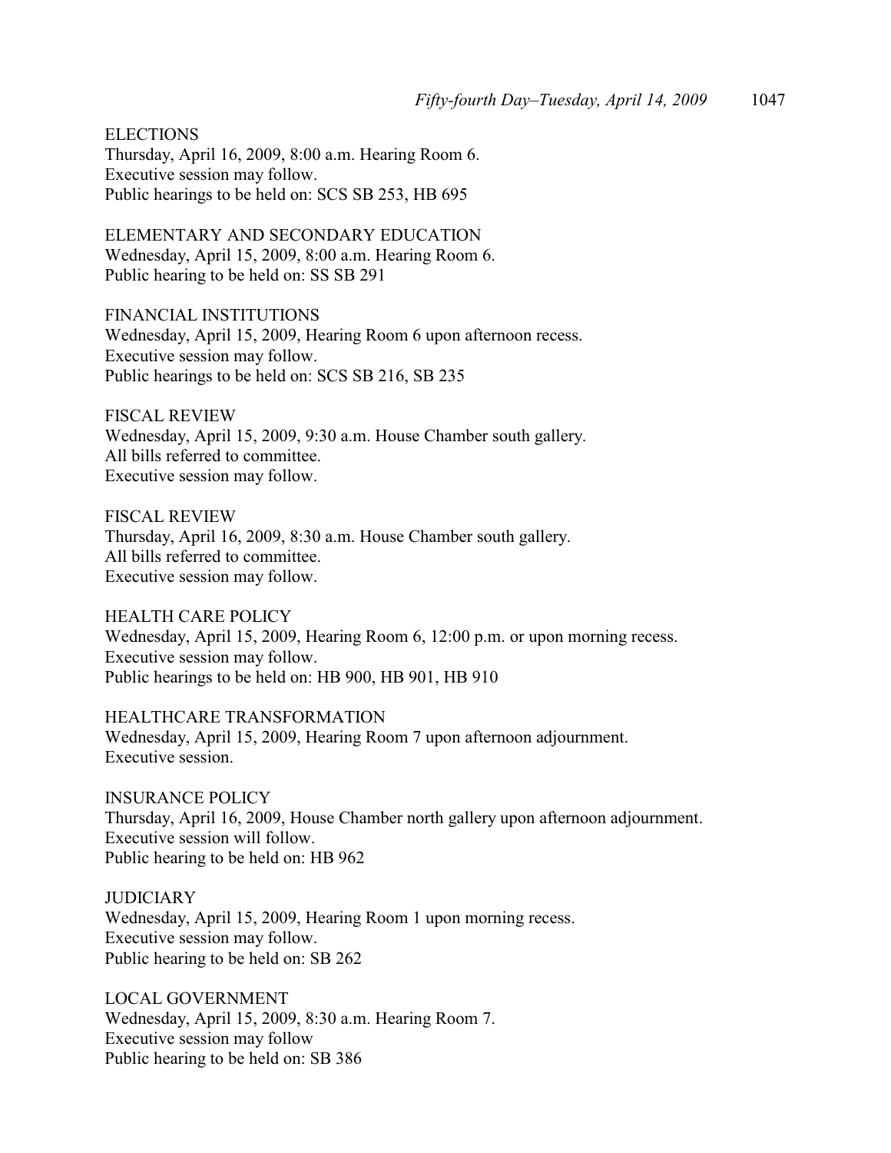**ELECTIONS** Thursday, April 16, 2009, 8:00 a.m. Hearing Room 6. Executive session may follow. Public hearings to be held on: SCS SB 253, HB 695

ELEMENTARY AND SECONDARY EDUCATION Wednesday, April 15, 2009, 8:00 a.m. Hearing Room 6. Public hearing to be held on: SS SB 291

FINANCIAL INSTITUTIONS Wednesday, April 15, 2009, Hearing Room 6 upon afternoon recess. Executive session may follow. Public hearings to be held on: SCS SB 216, SB 235

FISCAL REVIEW Wednesday, April 15, 2009, 9:30 a.m. House Chamber south gallery. All bills referred to committee. Executive session may follow.

FISCAL REVIEW Thursday, April 16, 2009, 8:30 a.m. House Chamber south gallery. All bills referred to committee. Executive session may follow.

HEALTH CARE POLICY Wednesday, April 15, 2009, Hearing Room 6, 12:00 p.m. or upon morning recess. Executive session may follow. Public hearings to be held on: HB 900, HB 901, HB 910

HEALTHCARE TRANSFORMATION Wednesday, April 15, 2009, Hearing Room 7 upon afternoon adjournment. Executive session.

INSURANCE POLICY Thursday, April 16, 2009, House Chamber north gallery upon afternoon adjournment. Executive session will follow. Public hearing to be held on: HB 962

**JUDICIARY** Wednesday, April 15, 2009, Hearing Room 1 upon morning recess. Executive session may follow. Public hearing to be held on: SB 262

LOCAL GOVERNMENT Wednesday, April 15, 2009, 8:30 a.m. Hearing Room 7. Executive session may follow Public hearing to be held on: SB 386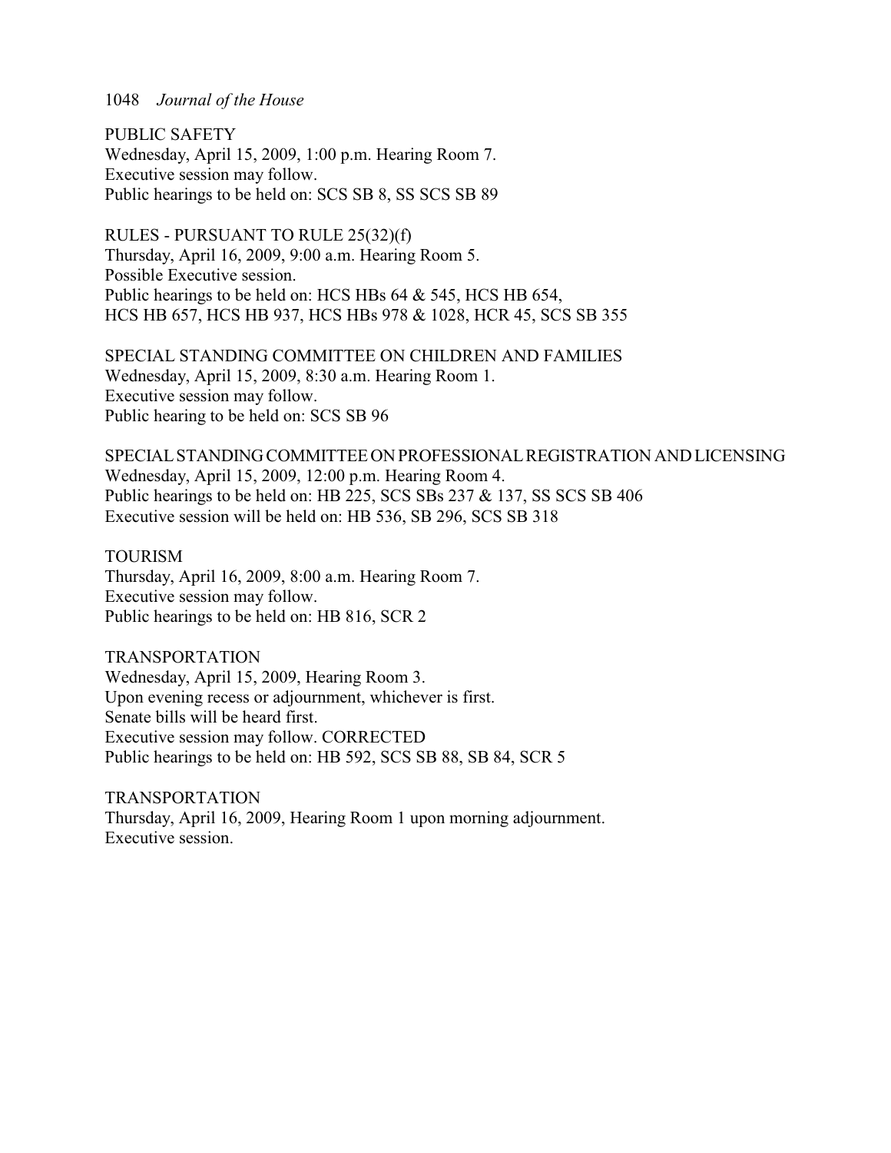PUBLIC SAFETY Wednesday, April 15, 2009, 1:00 p.m. Hearing Room 7. Executive session may follow. Public hearings to be held on: SCS SB 8, SS SCS SB 89

RULES - PURSUANT TO RULE 25(32)(f) Thursday, April 16, 2009, 9:00 a.m. Hearing Room 5. Possible Executive session. Public hearings to be held on: HCS HBs 64 & 545, HCS HB 654, HCS HB 657, HCS HB 937, HCS HBs 978 & 1028, HCR 45, SCS SB 355

SPECIAL STANDING COMMITTEE ON CHILDREN AND FAMILIES Wednesday, April 15, 2009, 8:30 a.m. Hearing Room 1. Executive session may follow. Public hearing to be held on: SCS SB 96

SPECIAL STANDING COMMITTEE ON PROFESSIONAL REGISTRATION AND LICENSING Wednesday, April 15, 2009, 12:00 p.m. Hearing Room 4. Public hearings to be held on: HB 225, SCS SBs 237 & 137, SS SCS SB 406 Executive session will be held on: HB 536, SB 296, SCS SB 318

TOURISM Thursday, April 16, 2009, 8:00 a.m. Hearing Room 7. Executive session may follow. Public hearings to be held on: HB 816, SCR 2

TRANSPORTATION Wednesday, April 15, 2009, Hearing Room 3. Upon evening recess or adjournment, whichever is first. Senate bills will be heard first. Executive session may follow. CORRECTED Public hearings to be held on: HB 592, SCS SB 88, SB 84, SCR 5

TRANSPORTATION Thursday, April 16, 2009, Hearing Room 1 upon morning adjournment. Executive session.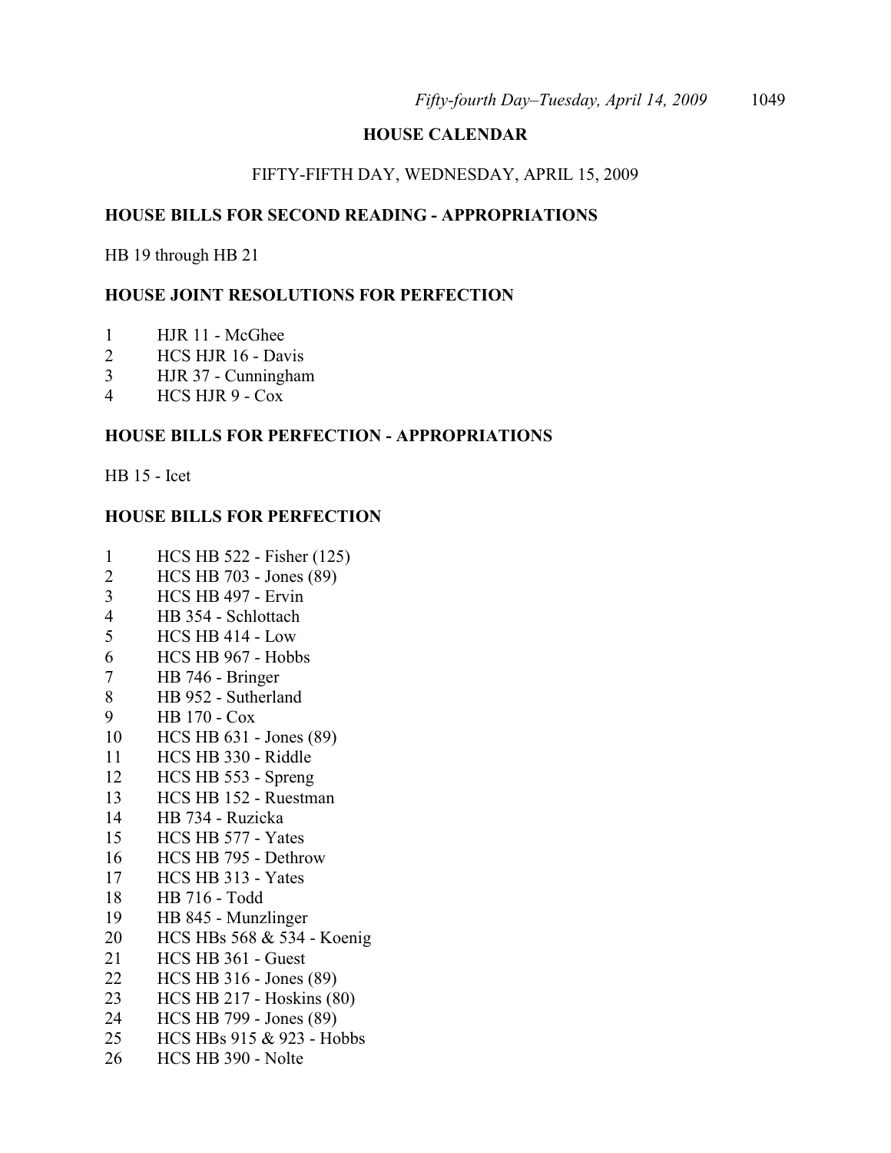#### **HOUSE CALENDAR**

#### FIFTY-FIFTH DAY, WEDNESDAY, APRIL 15, 2009

#### **HOUSE BILLS FOR SECOND READING - APPROPRIATIONS**

HB 19 through HB 21

#### **HOUSE JOINT RESOLUTIONS FOR PERFECTION**

- HJR 11 McGhee
- HCS HJR 16 Davis
- HJR 37 Cunningham
- HCS HJR 9 Cox

#### **HOUSE BILLS FOR PERFECTION - APPROPRIATIONS**

HB 15 - Icet

#### **HOUSE BILLS FOR PERFECTION**

- HCS HB 522 Fisher (125)
- HCS HB 703 Jones (89)
- HCS HB 497 Ervin
- HB 354 Schlottach
- HCS HB 414 Low
- HCS HB 967 Hobbs
- HB 746 Bringer
- HB 952 Sutherland
- HB 170 Cox
- HCS HB 631 Jones (89)
- HCS HB 330 Riddle
- HCS HB 553 Spreng
- HCS HB 152 Ruestman
- HB 734 Ruzicka
- HCS HB 577 Yates
- HCS HB 795 Dethrow
- HCS HB 313 Yates
- HB 716 Todd
- HB 845 Munzlinger
- HCS HBs 568 & 534 Koenig
- HCS HB 361 Guest
- HCS HB 316 Jones (89)
- HCS HB 217 Hoskins (80)
- HCS HB 799 Jones (89)
- HCS HBs 915 & 923 Hobbs
- HCS HB 390 Nolte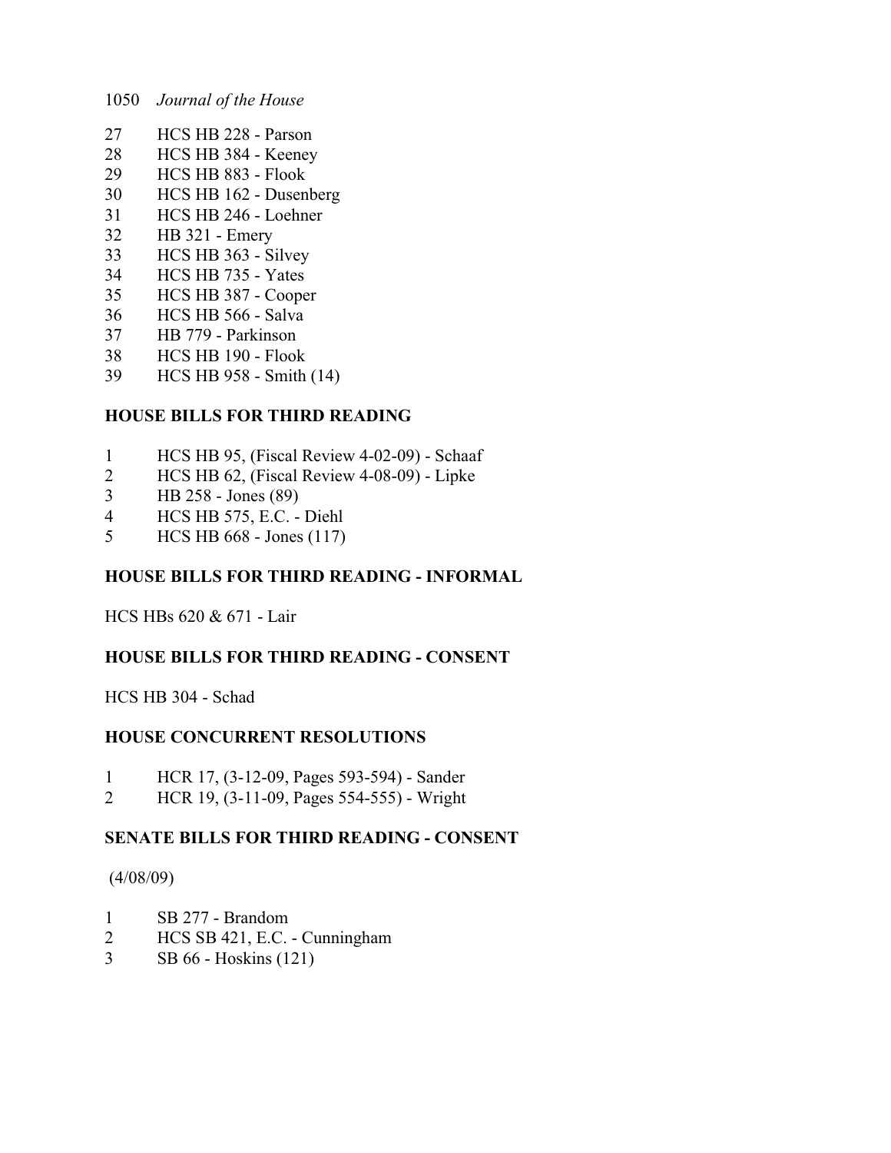- HCS HB 228 Parson
- HCS HB 384 Keeney
- HCS HB 883 Flook
- HCS HB 162 Dusenberg
- HCS HB 246 Loehner
- HB 321 Emery
- HCS HB 363 Silvey
- HCS HB 735 Yates
- HCS HB 387 Cooper
- HCS HB 566 Salva
- HB 779 Parkinson
- HCS HB 190 Flook
- HCS HB 958 Smith (14)

# **HOUSE BILLS FOR THIRD READING**

- HCS HB 95, (Fiscal Review 4-02-09) Schaaf
- HCS HB 62, (Fiscal Review 4-08-09) Lipke
- HB 258 Jones (89)
- HCS HB 575, E.C. Diehl
- HCS HB 668 Jones (117)

# **HOUSE BILLS FOR THIRD READING - INFORMAL**

HCS HBs 620 & 671 - Lair

# **HOUSE BILLS FOR THIRD READING - CONSENT**

HCS HB 304 - Schad

# **HOUSE CONCURRENT RESOLUTIONS**

- HCR 17, (3-12-09, Pages 593-594) Sander
- HCR 19, (3-11-09, Pages 554-555) Wright

# **SENATE BILLS FOR THIRD READING - CONSENT**

#### (4/08/09)

- SB 277 Brandom
- HCS SB 421, E.C. Cunningham
- SB 66 Hoskins (121)